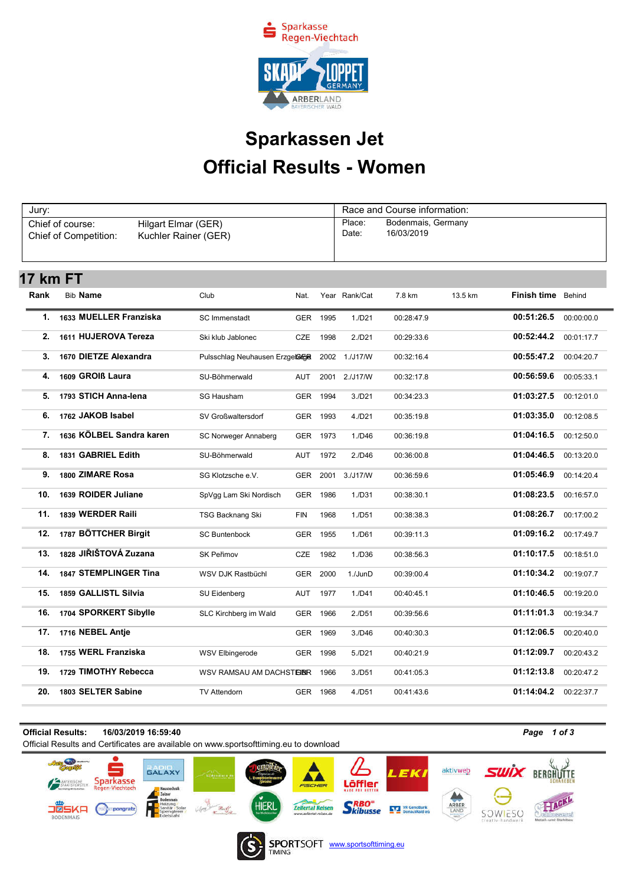

## Official Results - Women Sparkassen Jet

| Jury:<br>Chief of course:<br>Hilgart Elmar (GER)<br>Chief of Competition:<br>Kuchler Rainer (GER) |                          |                                 |            |      | Race and Course information:<br>Place:<br>Bodenmais, Germany<br>16/03/2019<br>Date: |            |         |             |            |  |
|---------------------------------------------------------------------------------------------------|--------------------------|---------------------------------|------------|------|-------------------------------------------------------------------------------------|------------|---------|-------------|------------|--|
|                                                                                                   |                          |                                 |            |      |                                                                                     |            |         |             |            |  |
| <b>17 km FT</b>                                                                                   |                          |                                 |            |      |                                                                                     |            |         |             |            |  |
| Rank                                                                                              | <b>Bib Name</b>          | Club                            | Nat.       |      | Year Rank/Cat                                                                       | 7.8 km     | 13.5 km | Finish time | Behind     |  |
| 1.                                                                                                | 1633 MUELLER Franziska   | <b>SC</b> Immenstadt            | <b>GER</b> | 1995 | 1./D21                                                                              | 00:28:47.9 |         | 00:51:26.5  | 00:00:00.0 |  |
| 2.                                                                                                | 1611 HUJEROVA Tereza     | Ski klub Jablonec               | CZE        | 1998 | 2./D21                                                                              | 00:29:33.6 |         | 00:52:44.2  | 00:01:17.7 |  |
| 3.                                                                                                | 1670 DIETZE Alexandra    | Pulsschlag Neuhausen Erzgelarge |            |      | 2002 1./J17/W                                                                       | 00:32:16.4 |         | 00:55:47.2  | 00:04:20.7 |  |
| 4.                                                                                                | 1609 GROIB Laura         | SU-Böhmerwald                   | <b>AUT</b> | 2001 | 2./J17/W                                                                            | 00:32:17.8 |         | 00:56:59.6  | 00:05:33.1 |  |
| 5.                                                                                                | 1793 STICH Anna-lena     | SG Hausham                      | <b>GER</b> | 1994 | 3./D21                                                                              | 00:34:23.3 |         | 01:03:27.5  | 00:12:01.0 |  |
| 6.                                                                                                | 1762 JAKOB Isabel        | SV Großwaltersdorf              | <b>GER</b> | 1993 | 4./D21                                                                              | 00:35:19.8 |         | 01:03:35.0  | 00:12:08.5 |  |
| 7 <sub>1</sub>                                                                                    | 1636 KÖLBEL Sandra karen | SC Norweger Annaberg            | <b>GER</b> | 1973 | 1./D46                                                                              | 00:36:19.8 |         | 01:04:16.5  | 00:12:50.0 |  |
| 8.                                                                                                | 1831 GABRIEL Edith       | SU-Böhmerwald                   | <b>AUT</b> | 1972 | 2./D46                                                                              | 00:36:00.8 |         | 01:04:46.5  | 00:13:20.0 |  |
| 9.                                                                                                | 1800 ZIMARE Rosa         | SG Klotzsche e.V.               | GER        | 2001 | 3./J17/W                                                                            | 00:36:59.6 |         | 01:05:46.9  | 00:14:20.4 |  |
| 10.                                                                                               | 1639 ROIDER Juliane      | SpVgg Lam Ski Nordisch          | <b>GER</b> | 1986 | 1./D31                                                                              | 00:38:30.1 |         | 01:08:23.5  | 00:16:57.0 |  |
| 11.                                                                                               | 1839 WERDER Raili        | TSG Backnang Ski                | FIN        | 1968 | 1./D51                                                                              | 00:38:38.3 |         | 01:08:26.7  | 00:17:00.2 |  |
| 12.                                                                                               | 1787 BÖTTCHER Birgit     | <b>SC Buntenbock</b>            | <b>GER</b> | 1955 | 1./D61                                                                              | 00:39:11.3 |         | 01:09:16.2  | 00:17:49.7 |  |
| 13.                                                                                               | 1828 JIŘIŠTOVÁ Zuzana    | <b>SK Peřimov</b>               | CZE        | 1982 | 1./D36                                                                              | 00:38:56.3 |         | 01:10:17.5  | 00:18:51.0 |  |
| 14.                                                                                               | 1847 STEMPLINGER Tina    | WSV DJK Rastbüchl               | GER        | 2000 | 1./JunD                                                                             | 00:39:00.4 |         | 01:10:34.2  | 00:19:07.7 |  |
| 15.                                                                                               | 1859 GALLISTL Silvia     | SU Eidenberg                    | <b>AUT</b> | 1977 | 1./D41                                                                              | 00:40:45.1 |         | 01:10:46.5  | 00:19:20.0 |  |
| 16.                                                                                               | 1704 SPORKERT Sibylle    | SLC Kirchberg im Wald           | <b>GER</b> | 1966 | 2./D51                                                                              | 00:39:56.6 |         | 01:11:01.3  | 00:19:34.7 |  |
| 17.                                                                                               | 1716 NEBEL Antie         |                                 | <b>GER</b> | 1969 | 3./D46                                                                              | 00:40:30.3 |         | 01:12:06.5  | 00:20:40.0 |  |
| 18.                                                                                               | 1755 WERL Franziska      | <b>WSV Elbingerode</b>          | <b>GER</b> | 1998 | 5./D21                                                                              | 00:40:21.9 |         | 01:12:09.7  | 00:20:43.2 |  |
| 19.                                                                                               | 1729 TIMOTHY Rebecca     | WSV RAMSAU AM DACHSTEINR        |            | 1966 | 3./D51                                                                              | 00:41:05.3 |         | 01:12:13.8  | 00:20:47.2 |  |
| 20.                                                                                               | 1803 SELTER Sabine       | <b>TV Attendorn</b>             | <b>GER</b> | 1968 | 4./D51                                                                              | 00:41:43.6 |         | 01:14:04.2  | 00:22:37.7 |  |

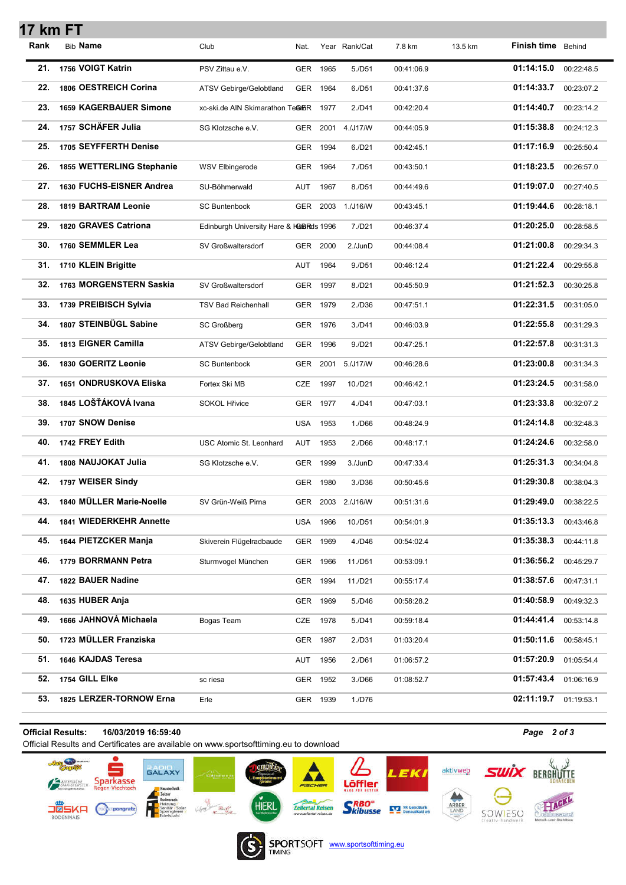| 17 km FT |                               |                                         |            |          |                   |            |         |                           |            |
|----------|-------------------------------|-----------------------------------------|------------|----------|-------------------|------------|---------|---------------------------|------------|
| Rank     | <b>Bib Name</b>               | Club                                    | Nat.       |          | Year Rank/Cat     | 7.8 km     | 13.5 km | <b>Finish time</b> Behind |            |
| 21.      | 1756 VOIGT Katrin             | PSV Zittau e.V.                         | <b>GER</b> | 1965     | 5./D51            | 00:41:06.9 |         | 01:14:15.0                | 00:22:48.5 |
| 22.      | 1806 OESTREICH Corina         | ATSV Gebirge/Gelobtland                 | GER        | 1964     | 6./D51            | 00:41:37.6 |         | 01:14:33.7                | 00:23:07.2 |
| 23.      | <b>1659 KAGERBAUER Simone</b> | xc-ski.de AIN Skimarathon TeamER        |            | 1977     | 2./D41            | 00:42:20.4 |         | 01:14:40.7                | 00:23:14.2 |
| 24.      | 1757 SCHÄFER Julia            | SG Klotzsche e.V.                       | GER        | 2001     | 4./J17/W          | 00:44:05.9 |         | 01:15:38.8                | 00:24:12.3 |
| 25.      | 1705 SEYFFERTH Denise         |                                         | <b>GER</b> | 1994     | 6./D21            | 00:42:45.1 |         | 01:17:16.9                | 00:25:50.4 |
| 26.      | 1855 WETTERLING Stephanie     | <b>WSV Elbingerode</b>                  | GER        | 1964     | 7./D51            | 00:43:50.1 |         | 01:18:23.5                | 00:26:57.0 |
| 27.      | 1630 FUCHS-EISNER Andrea      | SU-Böhmerwald                           | AUT        | 1967     | 8./D51            | 00:44:49.6 |         | 01:19:07.0                | 00:27:40.5 |
| 28.      | 1819 BARTRAM Leonie           | <b>SC Buntenbock</b>                    | GER        | 2003     | 1./J16/W          | 00:43:45.1 |         | 01:19:44.6                | 00:28:18.1 |
| 29.      | 1820 GRAVES Catriona          | Edinburgh University Hare & HGBRds 1996 |            |          | 7./D21            | 00:46:37.4 |         | 01:20:25.0                | 00:28:58.5 |
| 30.      | 1760 SEMMLER Lea              | SV Großwaltersdorf                      | GER        | 2000     | 2./JunD           | 00:44:08.4 |         | 01:21:00.8                | 00:29:34.3 |
| 31.      | 1710 KLEIN Brigitte           |                                         | AUT        | 1964     | 9./D51            | 00:46:12.4 |         | 01:21:22.4                | 00:29:55.8 |
| 32.      | 1763 MORGENSTERN Saskia       | SV Großwaltersdorf                      | <b>GER</b> | 1997     | 8./D21            | 00:45:50.9 |         | 01:21:52.3                | 00:30:25.8 |
| 33.      | 1739 PREIBISCH Sylvia         | <b>TSV Bad Reichenhall</b>              | GER        | 1979     | 2./D36            | 00:47:51.1 |         | 01:22:31.5                | 00:31:05.0 |
| 34.      | 1807 STEINBÜGL Sabine         | <b>SC Großberg</b>                      | GER        | 1976     | 3./D41            | 00:46:03.9 |         | 01:22:55.8                | 00:31:29.3 |
| 35.      | 1813 EIGNER Camilla           | ATSV Gebirge/Gelobtland                 | GER        | 1996     | 9./D21            | 00:47:25.1 |         | 01:22:57.8                | 00:31:31.3 |
| 36.      | 1830 GOERITZ Leonie           | <b>SC Buntenbock</b>                    | GER        | 2001     | 5./J17/W          | 00:46:28.6 |         | 01:23:00.8                | 00:31:34.3 |
| 37.      | 1651 ONDRUSKOVA Eliska        | Fortex Ski MB                           | <b>CZE</b> | 1997     | 10./D21           | 00:46:42.1 |         | 01:23:24.5                | 00:31:58.0 |
| 38.      | 1845 LOŠŤÁKOVÁ Ivana          | <b>SOKOL Hřivice</b>                    | <b>GER</b> | 1977     | 4./D41            | 00:47:03.1 |         | 01:23:33.8                | 00:32:07.2 |
| 39.      | 1707 SNOW Denise              |                                         | USA        | 1953     | 1./D66            | 00:48:24.9 |         | 01:24:14.8                | 00:32:48.3 |
| 40.      | 1742 FREY Edith               | USC Atomic St. Leonhard                 | AUT        | 1953     | 2./D66            | 00:48:17.1 |         | 01:24:24.6                | 00:32:58.0 |
| 41.      | 1808 NAUJOKAT Julia           | SG Klotzsche e.V.                       | GER        | 1999     | 3./JunD           | 00:47:33.4 |         | 01:25:31.3                | 00:34:04.8 |
| 42.      | 1797 WEISER Sindy             |                                         |            | GER 1980 | 3./D36            | 00:50:45.6 |         | 01:29:30.8                | 00:38:04.3 |
| 43.      | 1840 MÜLLER Marie-Noelle      | SV Grün-Weiß Pirna                      |            |          | GER 2003 2./J16/W | 00:51:31.6 |         | 01:29:49.0                | 00:38:22.5 |
| 44.      | 1841 WIEDERKEHR Annette       |                                         | USA        | 1966     | 10./D51           | 00:54:01.9 |         | 01:35:13.3                | 00:43:46.8 |
| 45.      | 1644 PIETZCKER Manja          | Skiverein Flügelradbaude                | GER        | 1969     | 4./D46            | 00:54:02.4 |         | 01:35:38.3                | 00:44:11.8 |
| 46.      | 1779 BORRMANN Petra           | Sturmvogel München                      | GER        | 1966     | 11./D51           | 00:53:09.1 |         | 01:36:56.2                | 00:45:29.7 |
| 47.      | 1822 BAUER Nadine             |                                         |            | GER 1994 | 11./D21           | 00:55:17.4 |         | 01:38:57.6                | 00:47:31.1 |
| 48.      | 1635 HUBER Anja               |                                         |            | GER 1969 | 5./D46            | 00:58:28.2 |         | 01:40:58.9                | 00:49:32.3 |
| 49.      | 1666 JAHNOVÁ Michaela         | Bogas Team                              | CZE        | 1978     | 5./D41            | 00:59:18.4 |         | 01:44:41.4                | 00:53:14.8 |
| 50.      | 1723 MÜLLER Franziska         |                                         |            | GER 1987 | 2./D31            | 01:03:20.4 |         | 01:50:11.6                | 00:58:45.1 |
| 51.      | 1646 KAJDAS Teresa            |                                         | AUT        | 1956     | 2./D61            | 01:06:57.2 |         | 01:57:20.9                | 01:05:54.4 |
| 52.      | 1754 GILL Elke                | sc riesa                                |            | GER 1952 | 3./D66            | 01:08:52.7 |         | 01:57:43.4                | 01:06:16.9 |
| 53.      | 1825 LERZER-TORNOW Erna       | Erle                                    |            | GER 1939 | 1./D76            |            |         | 02:11:19.7                | 01:19:53.1 |

## Official Results: 16/03/2019 16:59:40 *Page 2 of 3*

Official Results and Certificates are available on www.sportsofttiming.eu to download





**SPORTSOFT** www.sportsofttiming.eu